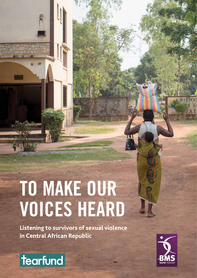**Listening to survivors of sexual violence in Central African Republic**



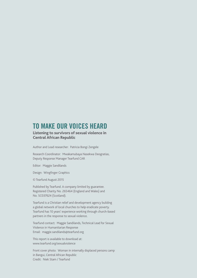#### **Listening to survivors of sexual violence in Central African Republic**

Author and Lead researcher: Patricia Bongi Zengele

Research Coordinator: Mwakamubaya Nasekwa Deogratias, Deputy Response Manager Tearfund CAR

Editor: Maggie Sandilands

Design: Wingfinger Graphics

© Tearfund August 2015

Published by Tearfund. A company limited by guarantee. Registered Charity No. 265464 (England and Wales) and No. SC037624 (Scotland).

Tearfund is a Christian relief and development agency building a global network of local churches to help eradicate poverty. Tearfund has 10 years' experience working through church-based partners in the response to sexual violence.

Tearfund contact: Maggie Sandilands, Technical Lead for Sexual Violence in Humanitarian Response Email: maggie.sandilands@tearfund.org

This report is available to download at: www.tearfund.org/sexualviolence

Front cover photo: Woman in internally displaced persons camp in Bangui, Central African Republic Credit: Niek Stam / Tearfund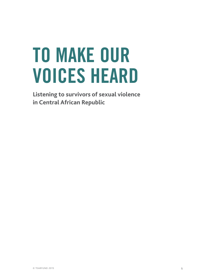**Listening to survivors of sexual violence in Central African Republic**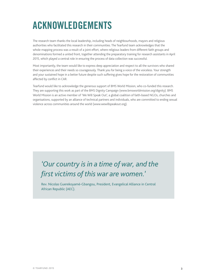### **Acknowledgements**

The research team thanks the local leadership, including heads of neighbourhoods, mayors and religious authorities who facilitated this research in their communities. The Tearfund team acknowledges that the whole mapping process was a result of a joint effort, where religious leaders from different faith groups and denominations formed a united front, together attending the preparatory training for research assistants in April 2015, which played a central role in ensuring the process of data collection was successful.

Most importantly, the team would like to express deep appreciation and respect to all the survivors who shared their experiences and their needs so courageously. Thank you for being a voice of the voiceless. Your strength and your sustained hope in a better future despite such suffering gives hope for the restoration of communities affected by conflict in CAR.

Tearfund would like to acknowledge the generous support of BMS World Mission, who co-funded this research. They are supporting this work as part of the BMS Dignity Campaign ([www.bmsworldmission.org/dignity](http://www.bmsworldmission.org/dignity)). BMS World Mission is an active member of 'We Will Speak Out', a global coalition of faith-based NGOs, churches and organisations, supported by an alliance of technical partners and individuals, who are committed to ending sexual violence across communities around the world ([www.wewillspeakout.org\)](http://www.wewillspeakout.org/).

### *'Our country is in a time of war, and the first victims of this war are women.'*

Rev. Nicolas Guerekoyamé-Gbangou, President, Evangelical Alliance in Central African Republic (AEC).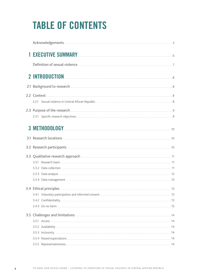# **Table of Contents**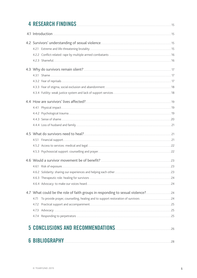| 4.7 What could be the role of faith groups in responding to sexual violence?24<br>To provide prayer, counselling, healing and to support restoration of survivors 24<br>4.71 |
|------------------------------------------------------------------------------------------------------------------------------------------------------------------------------|
|                                                                                                                                                                              |
|                                                                                                                                                                              |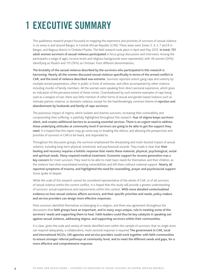### **1 Executive Summary**

This qualitative research project focussed on mapping the experience and priorities of survivors of sexual violence in six areas in and around Bangui, in Central African Republic (CAR). These areas were Zones 3, 4, 5, 7 and 8 in Bangui, and Begoua district in Ombela M'poko. The field research took place in April and May 2015. **In total, 151 adult women survivors of sexual violence participated** in focus group discussions and interviews. Among the participants a range of ages, income levels and religious backgrounds were represented, with 36 women (24%) identifying as Muslim and 115 (76%) as Christian, from different denominations.

**The brutality of the sexual violence described by the survivors who participated in this research is harrowing. Nearly all the women discussed sexual violence specifically in terms of the armed conflict in CAR, and the level of violence described was extreme.** Survivors reported violent gang-rape and sodomy by multiple armed perpetrators, often in public in front of witnesses, and often accompanied by other violence, including murder of family members. All the women were speaking from direct personal experience, which gives an indication of the pervasive extent of these crimes. Overshadowed by such extreme examples of rape being used as a weapon of war, there was little mention of other forms of sexual and gender-based violence such as intimate partner violence, or domestic violence; except for the heartbreakingly common theme of **rejection and abandonment by husbands and family of rape survivors.**

The poisonous impact of stigma, which isolates and shames survivors, increasing their vulnerability and compounding their suffering, is painfully highlighted throughout this research. **Fear of stigma keeps survivors silent, and creates additional barriers to accessing essential services. There is an urgent need to address these underlying attitudes at community level if survivors are going to be able to get the support they need.** It is hoped that this report may go some way to breaking the silence, and allowing the perspectives and priorities of survivors in CAR to be heard, and responded to.

Throughout the discussion groups, the survivors emphasised the devastating and multi-faceted impact of sexual violence, including long-term physical, emotional, and psychosocial wounds. They made it clear that **their healing and recovery requires a holistic response that meets these material, physical, psychological, social and spiritual needs. Many required medical treatment. Economic support for income generation was a key concern** for most survivors. They need to be able to meet basic needs for themselves and their children, as the violence had often exacerbated existing vulnerabilities and left them without material support. **Nearly all reported symptoms of trauma, and highlighted the need for counselling, prayer and psychosocial support.** Some spoke of despair.

While the scale of this research cannot be considered representative of the whole of CAR, or of all survivors of sexual violence within the current conflict, it is hoped that this study will provide a greater understanding of survivors' actual experiences and requirements within this context. **With more detailed contextualised evidence on how sexual violence affects survivors, and their specific priorities and needs, policy makers and service providers can design more effective responses.**

Most survivors identified themselves as belonging to a religion, and there was agreement throughout the discussions that **faith groups have an important, and in many ways unique, role in meeting some of the survivors' needs and supporting them to heal. Faith leaders could thus be key catalysts in speaking out against sexual violence, addressing stigma, and supporting survivors within their communities.**

It is clear, given the scale and variety of needs identified even within this sample of survivors; that no single actor can respond adequately; a collaborative, multi-sectoral response is required. **The government in CAR, local and international NGOs, UN agencies and service providers could work together with faith communities to ensure stronger referral pathways at community level, and to meet the different needs and gaps, for a more effective and comprehensive response.**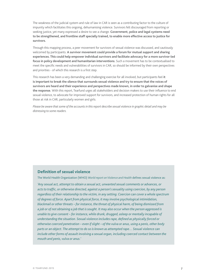The weakness of the judicial system and rule of law in CAR is seen as a contributing factor to the culture of impunity which facilitates this ongoing, dehumanising violence. Survivors felt discouraged from reporting or seeking justice, yet many expressed a desire to see a change. **Government, police and legal systems need to be strengthened, and frontline staff specially trained, to enable more effective access to justice for survivors.**

Through this mapping process, a peer movement for survivors of sexual violence was discussed, and cautiously welcomed by participants. **A survivor movement could provide a forum for mutual support and sharing experiences. This could help empower individual survivors and facilitate advocacy for a more survivor-led focus in policy development and humanitarian interventions.** Such a movement has to be contextualised to meet the specific needs and vulnerabilities of survivors in CAR, so should be informed by their own perspectives and priorities - of which this research is a first step.

This research has been a very demanding and challenging exercise for all involved, but participants feel **it is important to break the silence that surrounds sexual violence and try to ensure that the voices of survivors are heard and their experience and perspectives made known, in order to galvanise and shape the response.** With this report, Tearfund urges all stakeholders and decision makers to use their influence to end sexual violence, to advocate for improved support for survivors, and increased protection of human rights for all those at risk in CAR, particularly women and girls.

*Please be aware that some of the accounts in this report describe sexual violence in graphic detail and may be distressing to some readers.*

#### **Definition of sexual violence**

The World Health Organization (WHO) *World report on Violence and Health* defines sexual violence as:

*'Any sexual act, attempt to obtain a sexual act, unwanted sexual comments or advances, or acts to traffic, or otherwise directed, against a person's sexuality using coercion, by any person regardless of their relationship to the victim, in any setting. Coercion can cover a whole spectrum of degrees of force. Apart from physical force, it may involve psychological intimidation, blackmail or other threats – for instance, the threat of physical harm, of being dismissed from a job or of not obtaining a job that is sought. It may also occur when the person aggressed is unable to give consent – for instance, while drunk, drugged, asleep or mentally incapable of understanding the situation. Sexual violence includes rape, defined as physically forced or otherwise coerced penetration – even if slight – of the vulva or anus, using a penis, other body parts or an object. The attempt to do so is known as attempted rape… Sexual violence can include other forms of assault involving a sexual organ, including coerced contact between the mouth and penis, vulva or anus.'*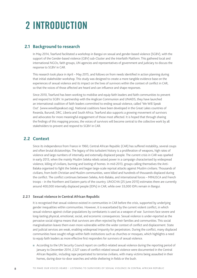### **2 Introduction**

#### **2.1 Background to research**

In May 2014, Tearfund facilitated a workshop in Bangui on sexual and gender-based violence (SGBV), with the support of the Gender-based violence (GBV) sub-Cluster and the Interfaith Platform. This gathered local and international NGOs, faith groups, UN agencies and representatives of government and judiciary to discuss the response to SGBV in CAR.

This research took place in April – May 2015, and follows on from needs identified in action planning during that initial stakeholder workshop. This study was designed to create a more tangible evidence base on the experiences of sexual violence and its impact on the lives of survivors within the context of conflict in CAR, so that the voices of those affected are heard and can influence and shape responses.

Since 2010, Tearfund has been working to mobilise and equip faith leaders and faith communities to prevent and respond to SGBV. In partnership with the Anglican Communion and UNAIDS, they have launched an international coalition of faith leaders committed to ending sexual violence, called 'We Will Speak Out'. [\(www.wewillspeakout.org\)](http://www.wewillspeakout.org). National coalitions have been developed in the Great Lakes countries of Rwanda, Burundi, DRC, Liberia and South Africa. Tearfund also supports a growing movement of survivors and advocates for more meaningful engagement of those most affected. It is hoped that through sharing the findings of this mapping process, the voices of survivors will become central to the collective work by all stakeholders to prevent and respond to SGBV in CAR.

#### **2.2 Context**

Since its independence from France in 1960, Central African Republic (CAR) has suffered instability, several coups and often brutal dictatorships. The legacy of this turbulent history is a proliferation of weapons, high rates of violence and large numbers of internally and externally displaced people. The current crisis in CAR was sparked in early 2013, when the mainly Muslim Seleka rebels seized power in a campaign characterised by widespread violence, killing of civilians, burning and looting of homes. In mid-2013, groups calling themselves the Anti-Balaka organised to fight the Seleka and began large-scale reprisal attacks against Muslim civilians. Thousands of civilians, from both Christian and Muslim communities, were killed and hundreds of thousands displaced during the conflict. The conflict continues between Seleka, Anti-Balaka, and international forces – MINUSCA and French troops – in the Northern and Eastern parts of the country. UNOCHA (25 June 2015) estimates there are currently around 400,000 internally displaced people (IDPs) in CAR, while over 33,000 IDPs remain in Bangui.

#### **2.2.1 Sexual violence in Central African Republic**

It is recognised that sexual violence existed in communities in CAR before the crisis, supported by underlying gender inequalities within communities. However, it is exacerbated by the current violent conflict, in which sexual violence against civilian populations by combatants is used as a weapon of war. Survivors face severe and long-lasting physical, emotional, social, and economic consequences. Sexual violence is under-reported as the pervasive social stigma means that survivors are often rejected by their families and communities. This social marginalisation leaves them even more vulnerable within the wider context of conflict and displacement. State and judicial services are weak, enabling widespread impunity for perpetrators. During the conflict, many displaced communities have sought refuge within faith institutions such as churches or mosques, which highlights a need to equip faith leaders as more effective first responders for survivors of sexual violence.

<sup>n</sup> According to the [UN Security Council report on conflict-related sexual violence](http://www.securitycouncilreport.org/atf/cf/%7B65BFCF9B-6D27-4E9C-8CD3-CF6E4FF96FF9%7D/s_2015_203.pdf) during the reporting period of January to December 2014, 2,527 cases of conflict-related sexual violence were documented in the Central African Republic, including rape perpetrated to terrorise civilians, with many victims being assaulted in their homes, during door-to-door searches and while sheltering in fields or the bush.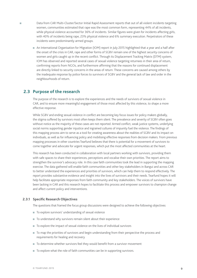- Data from [CAR Multi-Cluster/Sector Initial Rapid Assessment](http://reliefweb.int/sites/reliefweb.int/files/resources/Multi%20cluster%20sector%20rapid%20assessment.pdf) reports that out of all violent incidents targeting women, communities estimated that rape was the most common form, representing 44% of all incidents, while physical violence accounted for 36% of incidents. Similar figures were given for incidents affecting girls, with 40% of incidents being rape, 23% physical violence and 6% summary execution. Perpetrators of these incidents were predominantly armed groups.
	- n An International Organisation for Migration (IOM) report in July 2015 highlighted that a year and a half after the onset of the crisis in CAR, rape and other forms of SGBV remain one of the highest security concerns of women and girls caught up in the recent conflict. Through its Displacement Tracking Matrix (DTM) system, IOM has observed and reported several cases of sexual violence targeting returnees in their area of return, confirming reports from NGOs, and furthermore affirming that the reasons for continued displacement are directly linked to security concerns in the areas of return. These concerns are caused among others by the inadequate response by police forces to survivors of SGBV and the general lack of law and order in the neighbourhoods of return.

#### **2.3 Purpose of the research**

The purpose of the research is to explore the experiences and the needs of survivors of sexual violence in CAR, and to ensure more meaningful engagement of those most affected by this violence, to shape a more effective response.

While SGBV and ending sexual violence in conflict are becoming key focus issues for policy makers globally, the stigma suffered by survivors most often keeps them silent. The prevalence and severity of SGBV often goes without notice as the majority of these cases are not reported. Armed conflict, weak justice systems, underlying social norms supporting gender injustice and ingrained cultures of impunity fuel the violence. The findings of this mapping process aim to serve as a tool for creating awareness about the realities of SGBV and its impact on individuals, as well as for influencing policy and mobilising effective responses from decision makers. From previous mapping processes in other countries Tearfund believes that there is potential for a movement of survivors to come together and advocate for urgent responses, which put the most affected communities at the heart.

This research has been conducted in collaboration with local partners working with survivors, providing them with safe spaces to share their experiences, perceptions and vocalise their own priorities. The report aims to strengthen the survivor's advocacy role. In this case faith communities took the lead in supporting the mapping exercise. The data gathered will enable faith communities and other key stakeholders in Bangui and across CAR to better understand the experiences and priorities of survivors, which can help them to respond effectively. The report provides substantive evidence and insight into the lives of survivors and their needs. Tearfund hopes it will help facilitate appropriate responses from faith community and key stakeholders. The voices of survivors have been lacking in CAR and this research hopes to facilitate this process and empower survivors to champion change and affect current policy and interventions.

#### **2.3.1 Specific Research Objectives**

The questions that framed the focus group discussions were designed to achieve the following objectives:

- To explore survivors' understanding of sexual violence
- $\blacksquare$  To understand why survivors remain silent about their experience
- $\blacksquare$  To explore the impact of sexual violence on the lives of individual survivors
- $\blacksquare$  To map the priorities of survivors and begin understanding from their perspective the process and requirements for healing and recovery
- $\blacksquare$  To determine whether survivors feel they would benefit from a survivor movement
- $\blacksquare$  To explore what the role of faith communities can be in supporting survivors.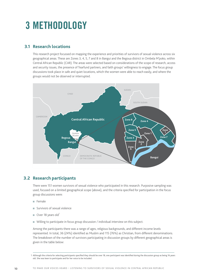### **3 Methodology**

#### **3.1 Research locations**

This research project focussed on mapping the experience and priorities of survivors of sexual violence across six geographical areas. These are Zones 3, 4, 5, 7 and 8 in Bangui and the Begoua district in Ombela M'poko, within Central African Republic (CAR). The areas were selected based on considerations of the scope of research, access and security issues, the presence of Tearfund partners, and faith groups' willingness to engage. The focus group discussions took place in safe and quiet locations, which the women were able to reach easily, and where the groups would not be observed or interrupted.



#### **3.2 Research participants**

There were 151 women survivors of sexual violence who participated in this research. Purposive sampling was used, focused on a limited geographical scope (above), and the criteria specified for participation in the focus group discussions were:

- <sup>n</sup> Female
- <sup>n</sup> Survivors of sexual violence
- $\blacksquare$  Over 18 years old<sup>1</sup>
- Willing to participate in focus group discussion / individual interview on this subject.

Among the participants there was a range of ages, religious backgrounds, and different income levels represented. In total, 36 (24%) identified as Muslim and 115 (76%) as Christian, from different denominations. The breakdown of the number of survivors participating in discussion groups by different geographical areas is given in the table below:

<sup>1</sup> Although the criteria for selecting participants specified they should be over 18, one participant was identified during the discussion group as being 16 years old. She was keen to participate and for her voice to be included.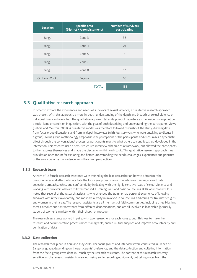| <b>Location</b> | <b>Specific area</b><br>(District / Arrondissement) | <b>Number of survivors</b><br>participating |
|-----------------|-----------------------------------------------------|---------------------------------------------|
| Bangui          | Zone 3                                              | 36                                          |
| Bangui          | Zone 4                                              | 21                                          |
| Bangui          | Zone 5                                              | 8                                           |
| Bangui          | Zone 7                                              | 3                                           |
| Bangui          | Zone 8                                              | 17                                          |
| Ombela M'poko   | Begoua                                              | 66                                          |
|                 | <b>TOTAL</b>                                        | 151                                         |

#### **3.3 Qualitative research approach**

In order to explore the experiences and needs of survivors of sexual violence, a qualitative research approach was chosen. With this approach, a more in-depth understanding of the depth and breadth of sexual violence on individual lives can be elicited. The qualitative approach takes its point of departure as the insider's viewpoint on a social issue or condition in question, with the goal of both describing and understanding the participants' views (Babbie and Mouton, 2001). A qualitative model was therefore followed throughout the study, drawing data from focus group discussions and from in-depth interviews (with four survivors who were unwilling to discuss in a group). Focus group methodology emphasises the perceptions of the participants and encourages a synergistic effect through the conversational process, as participants react to what others say and ideas are developed in the interaction. This research used a semi-structured interview schedule as a framework, but allowed the participants to then express themselves and shape the discussion within each topic. This qualitative research approach thus provides an open forum for exploring and better understanding the needs, challenges, experiences and priorities of the survivors of sexual violence from their own perspectives.

#### **3.3.1 Research team**

A team of 12 female research assistants were trained by the lead researcher on how to administer the questionnaires and effectively facilitate the focus group discussions. The intensive training covered data collection, empathy, ethics and confidentiality in dealing with the highly sensitive issue of sexual violence and working with survivors who are still traumatised. Listening skills and basic counselling skills were covered. It is noted that several of the research assistants who attended the training had personal experience of knowing survivors within their own family, and most are already in involved in counselling and caring for traumatised girls and women in their areas. The research assistants are all members of faith communities, including three Muslims, three Catholics and six Protestants from different denominations, and are all involved in leadership (primarily leaders of women's ministry within their church or mosque).

The research assistants worked in pairs, with two researchers for each focus group. This was to make the research and documentation process more manageable, enable mutual support, and improve accountability and verification of data.

#### **3.3.2 Data collection**

The research took place in April and May 2015. The focus groups and interviews were conducted in French or Sango language, depending on the participants' preference, and the data collection and collating information from the focus groups was done in French by the research assistants. The content of this research was very sensitive, so the research assistants were not using audio recording equipment, but taking notes from the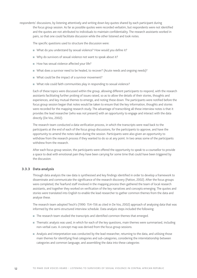respondents' discussions, by listening attentively and writing down key quotes shared by each participant during the focus group session. As far as possible quotes were recorded verbatim, but respondents were not identified and the quotes are not attributed to individuals to maintain confidentiality. The research assistants worked in pairs, so that one could facilitate discussion while the other listened and took notes.

The specific questions used to structure the discussion were:

- What do you understand by sexual violence? How would you define it?
- Why do survivors of sexual violence not want to speak about it?
- How has sexual violence affected your life?
- What does a survivor need to be healed, to recover? (Acute needs and ongoing needs)?
- What could be the impact of a survivor movement?
- What role could faith communities play in responding to sexual violence?

Each of these topics were discussed within the group, allowing different participants to respond, with the research assistants facilitating further probing of issues raised, so as to allow the details of their stories, thoughts and experiences, and key mutual themes to emerge, and noting these down. The participants were notified before the focus group session began that notes would be taken to ensure that the key information, thoughts and stories were recorded for the mapping research study. The advantage of transcribing all these interview notes is that it provides the lead researcher (who was not present) with an opportunity to engage and interact with the data directly (De Vos, 2002).

The research team conducted a data verification process, in which the transcripts were read back to the participants at the end of each of the focus group discussions, for the participants to approve, and have the opportunity to amend the notes taken during the session. Participants were also given an opportunity to withdraw from the research process if they wanted to do so at any point. In two areas some of the participants withdrew from the research.

After each focus group session, the participants were offered the opportunity to speak to a counsellor to provide a space to deal with emotional pain they have been carrying for some time that could have been triggered by the discussion.

#### **3.3.3 Data analysis**

Through data analysis the raw data is synthesised and key findings identified in order to develop a framework to disseminate and communicate the significance of the research discovery (Patton, 2002). After the focus groups were completed, the Tearfund staff involved in the mapping process then gathered the team of local research assistants, and together they worked on verification of the key narratives and concepts emerging. The quotes and stories were translated into English to enable the lead researcher to gather common themes from the data and analyse these.

The research team adopted Tesch's (1990: 154–156 as cited in De Vos, 2002) approach of analysing data that was informed by the semi-structured interview schedule. Data analysis steps included the following:

- <sup>n</sup> The research team studied the transcripts and identified common themes that emerged.
- <sup>n</sup> Thematic analysis was used, in which for each of the key questions, main themes were summarised, including non-verbal cues. A concept map was derived from the focus group sessions.
- <sup>n</sup> Analysis and interpretation was conducted by the lead researcher, returning to the data, and utilising those main themes for identifying final categories and sub-categories, considering the interrelationship between categories and common language, and assembling the data into these categories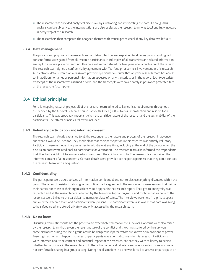- <sup>n</sup> The research team provided analytical discussion by illustrating and interpreting the data. Although this analysis can be subjective, the interpretations are also useful as the research team was local and fully involved in every step of this research.
- <sup>n</sup> The researchers then compared the analysed themes with transcripts to check if any key data was left out.

#### **3.3.4 Data management**

The process and purpose of the research and all data collection was explained to all focus groups, and signed consent forms were gained from all research participants. Hard copies of all transcripts and related information are kept in a secure place by Tearfund. This data will remain stored for two years upon conclusion of the research. The research team signed a confidentiality agreement with Tearfund prior to their involvement in this research. All electronic data is stored on a password protected personal computer that only the research team has access to. In addition no names or personal information appeared on any transcripts or in the report. Each type-written transcript of the research was assigned a code, and the transcripts were saved safely in password protected files on the researcher's computer.

#### **3.4 Ethical principles**

For this mapping research project, all of the research team adhered to key ethical requirements throughout, as specified by the Medical Research Council of South Africa (2003), to ensure protection and respect for all participants. This was especially important given the sensitive nature of the research and the vulnerability of the participants. The ethical principles followed included:

#### **3.4.1 Voluntary participation and informed consent**

The research team clearly explained to all the respondents the nature and process of the research in advance and what it would be used for. They made clear that their participation in this research was entirely voluntary. Participants were reminded they were free to withdraw at any time, including at the end of the groups when the discussion notes were read back to participants for verification. The research team also informed the respondents that they had a right not to answer certain questions if they did not wish to. The research team obtained the informed consent of all respondents. Contact details were provided to the participants so that they could contact the research team with any questions.

#### **3.4.2 Confidentiality**

The participants were asked to keep all information confidential and not to disclose anything discussed within the group. The research assistants also signed a confidentiality agreement. The respondents were assured that neither their names nor those of their organisations would appear in the research report. The right to anonymity was respected and all the research data collected by the team was kept anonymous and confidential, as none of the responses were linked to the participants' names or place of safety. The interviews were held in a private space and only the research team and participants were present. The participants were also aware that data was going to be safeguarded and stored privately and only accessed by the research team.

#### **3.4.3 Do no harm**

Discussing traumatic events has the potential to exacerbate trauma for the survivors. Concerns were also raised by the research team that, given the recent nature of the conflict and the crimes suffered by the survivors, some disclosure during the focus groups could be dangerous if perpetrators are known or in positions of power. Ensuring that no harm happens to research participants was a central concern in this research. Participants were informed about the content and potential impact of the research, so that they were at liberty to decide whether to participate in the research or not. The option of individual interviews was given for those who were not comfortable sharing in a group setting. During the discussions, no one was forced to answer or participate on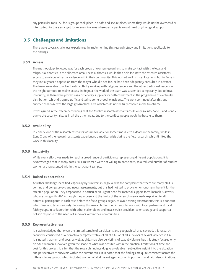any particular topic. All focus groups took place in a safe and secure place, where they would not be overheard or interrupted. Partners arranged for referrals in cases where participants would need psychological support.

#### **3.5 Challenges and limitations**

There were several challenges experienced in implementing this research study and limitations applicable to the findings.

#### **3.5.1 Access**

The methodology followed was for each group of women researchers to make contact with the local and religious authorities in the allocated area. These authorities would then help facilitate the research assistants' access to survivors of sexual violence within their community. This worked well in most locations, but in Zone 4 they initially faced opposition from the mayor who did not feel he had been adequately consulted in advance. The team were able to solve the difficulty by working with religious leaders and the other traditional leaders in the neighbourhood to enable access. In Begoua, the work of the team was suspended temporarily due to local insecurity, as there were protests against energy suppliers for better treatment in the programme of electricity distribution, which disrupted traffic and led to some shooting incidents. The work continued after this but another challenge was the large geographical area which could not be fully covered in the timeframe.

It was agreed in the researcher training that the Muslim research assistants could only go into Zone 3 and Zone 7 due to the security risks, as in all the other areas, due to the conflict, people would be hostile to them.

#### **3.5.2 Availability**

In Zone 5, one of the research assistants was unavailable for some time due to a death in the family, while in Zone 7, one of the research assistants experienced a medical crisis during the field research, which limited the work in this locality.

#### **3.5.3 Inclusivity**

While every effort was made to reach a broad range of participants representing different populations, it is acknowledged that in many cases Muslim women were not willing to participate, so a reduced number of Muslim women are represented within the participant sample.

#### **3.5.4 Raised expectations**

A further challenge identified, especially by survivors in Begoua, was the complaint that there are many NGOs coming and doing surveys and needs assessments, but this had not led to provision or long-term benefit for the affected population. They emphasised in particular an urgent need for material support for vulnerable survivors who are living with HIV. Although the purpose and the limits of the research were clearly explained to all potential participants in each case before the focus groups began, to avoid raising expectations, this is a concern which Tearfund takes seriously. Following this research, Tearfund intends to work with local partners and local faith groups, in collaboration with other stakeholders and local service providers, to encourage and support a holistic response to the needs of survivors within their communities.

#### **3.5.5 Representativeness**

It is acknowledged that given the limited sample of participants and geographical area covered, this research cannot be considered as automatically representative of all of CAR or of all survivors of sexual violence in CAR. It is noted that men and boys, as well as girls, may also be victims of sexual violence, but this study focused only on adult women. However, given the scope of what was possible within the practical limitations of time and cost for this project, it is felt that the research findings do give a valuable if subjective insight into the situation and perspectives of survivors within the current crisis. It is noted that the findings are quite consistent across the different focus groups, which included women of all different ages, economic positions, and faith denominations.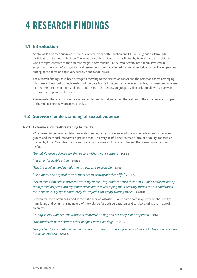## **4 Research findings**

#### **4.1 Introduction**

A total of 151 women survivors of sexual violence, from both Christian and Muslim religious backgrounds, participated in this research study. The focus group discussions were facilitated by trained research assistants, who are representative of the different religious communities in the area. Several are already involved in supporting survivors. Working with local researchers from the affected communities helped to facilitate openness among participants on these very sensitive and taboo issues.

The research findings have been arranged according to the discussion topics and the common themes emerging, which were drawn out through analysis of the data from all the groups. Wherever possible, comment and analysis has been kept to a minimum and direct quotes from the discussion groups used in order to allow the survivors' own words to speak for themselves.

**Please note:** these testimonies are often graphic and brutal, reflecting the realities of the experience and impact of the violence on the women who spoke.

#### **4.2 Survivors' understanding of sexual violence**

#### **4.2.1 Extreme and life-threatening brutality**

When asked to define or explain their understanding of sexual violence, all the women who were in the focus groups and individual interviews expressed that it is a very painful and traumatic form of brutality imposed on women by force. Most described violent rape by strangers and many emphasised that sexual violence could be fatal.

*'Sexual violence is forced sex that occurs without your consent.'* Zone 5

*'It is an unforgivable crime.'* Zone 3

*'This is a cruel act and humiliation… a person can even die.'* Zone 7

*'It is a moral and physical torture that tries to destroy another's life.'* Zone 5

'Seven men from Seleka attacked me in my home. They made me suck their penis. When I refused, one of *them forced his penis into my mouth while another was raping me. Then they turned me over and raped me in the anus. My life is completely destroyed. I am simply waiting to die.'* BEGOUA

Perpetrators were often described as 'executioners' or 'assassins'. Some participants explicitly emphasised the humiliating and dehumanising nature of the violence for both perpetrators and survivors, using the image of an animal.

*'During sexual violence, the woman is treated like a dog and her body is not respected.'* Zone 8

*'The murderers have sex with other peoples' wives like dogs.'* Zone 5

*'You feel as if you are like an animal because the man who abuses you does whatever he likes and he seems like an animal too.'* Zone 8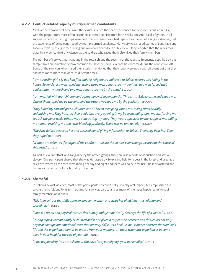#### **4.2.2 Conflict-related: rape by multiple armed combatants**

Most of the women explicitly linked the sexual violence they had experienced to the current conflict in CAR, with the perpetrators most often described as armed soldiers from both Seleka and Anti-Balaka fighters. In all six areas where the focus groups were held, many women described rape not as the act of a single individual, but the experience of being gang-raped by multiple armed assailants. Many survivors shared stories of gang-rape and sodomy, with up to eight men raping one woman repeatedly in public view. Many reported that the rapes took place in a wider context of violence, as the soldiers who raped them also killed their family members.

The number of survivors participating in the research and the severity of the rapes so frequently described by this sample gives an indication of how common this level of sexual violence has become during the conflict in CAR. Some of the survivors who shared their stories mentioned that their rapes were not a one-off event but that they had been raped more than once, at different times.

*'I am a Muslim girl. My dad had fled and the neighbours indicated to Seleka where I was hiding in the house. Seven Seleka men raped me; where three men penetrated my genitals, two men forced their penises into my mouth and two men penetrated me by the anus.'* Begoua

*'I am married with four children and a pregnancy of seven months. Three Anti-Balaka came and raped me. One of them raped me by the anus and the other two raped me by the genitals.'* Begoua

*'They killed my son and grand-children and all seven men gang-raped me, taking turns brutally sodomising me. They inserted their penis into every opening in my body including ears, mouth, forcing me to suck the penis while others were penetrating my anus. They would ejaculate on me, laugh at me, calling me names, insulting me and I was bleeding profusely. There was no one to help.'* BEGOUA

*'The Anti-Balaka attacked her and accused her of giving information to Seleka. Then they beat her. Then they raped her.'* Zone 8

*'Women are taken, as if a target of the conflict… We are the victims even though we are not the cause of this crisis.'* Zone 3

As well as violent attack and gang-rape by the armed groups, there are also reports of abduction and sexual slavery. One participant shared that she was kidnapped by Seleka and held for a year in the forest and used as a sex slave, where all the men were raping her day and night and there was no help for her. She is devastated and carries so many scars of this brutality in her life.

#### **4.2.3 Shameful**

In defining sexual violence, most of the participants described not just a physical impact, but emphasised the severe shame felt and long-term trauma for survivor, particularly as many of the rapes happened in front of family members or in public.

*'This is an evil act that falls upon an innocent woman and strips her of all innermost dignity and*  sacredness!' ZONE 3

*'Rape is a moral and physical torture that slowly and systematically destroys the life of a victim.'* Zone 5

*'During rape a woman's body is violated and is not given a respect she deserves and this leaves not only physical damage but emotional scars that are very difficult to heal. Sexual violence shatters the survivor's*  life and this experience cannot be erased from your memory, all these traumatic experiences become *alive in your head for the rest of your life.'* Zone 8

*'It makes you dirty. You are ashamed. You have lost your dignity, your personality.'* Zone 3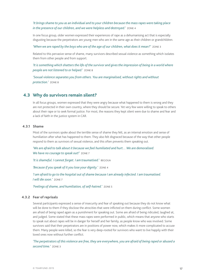*'It brings shame to you as an individual and to your children because the mass rapes were taking place in the presence of our children, and we were helpless and destroyed.'* Zone 4

In one focus group, older women expressed their experiences of rape as a dehumanising act that is especially disgusting because the perpetrators are young men who are in the same age as their children or grandchildren.

*'When we are raped by the boys who are of the age of our children, what does it mean?'* Zone 3

Related to this pervasive sense of shame, many survivors described sexual violence as something which isolates them from other people and from support.

*'It is something which shatters the life of the survivor and gives the impression of being in a world where people are not listened to or helped.'* Zone 8

*'Sexual violence separates you from others. You are marginalised, without rights and without protection.'* Zone 8

#### **4.3 Why do survivors remain silent?**

In all focus groups, women expressed that they were angry because what happened to them is wrong and they are not protected in their own country, where they should be secure. Yet very few were willing to speak to others about their rape or to seek formal justice. For most, the reasons they kept silent were due to shame and fear and a lack of faith in the justice system in CAR.

#### **4.3.1 Shame**

Most of the survivors spoke about the terrible sense of shame they felt, as an internal emotion and sense of humiliation after what has happened to them. They also felt disgraced because of the way that other people respond to them as survivors of sexual violence, and this often prevents them speaking out.

*'We are afraid to talk about it because we feel humiliated and hurt… We are demoralised. We have no courage to speak out!'* Zone 7

*'It is shameful. I cannot forget. I am traumatised.'* Begoua

*'Because if you speak of it you lose your dignity.'* Zone 4

*'I am afraid to go to the hospital out of shame because I am already infected. I am traumatised. I will die soon.'* Zone 7

*'Feelings of shame, and humiliation, of self-hatred.'* Zone 5

#### **4.3.2 Fear of reprisals**

Several participants expressed a sense of insecurity and fear of speaking out because they do not know what will be done to them if they disclose the atrocities that were inflicted on them during conflict. Some women are afraid of being raped again as a punishment for speaking out. Some are afraid of being ridiculed, laughed at, and judged. Some stated that these mass rapes were performed in public, which means that anyone who starts to speak out about rapes will be in danger for herself and her family, as people know who was involved. Some survivors said that their perpetrators are in positions of power now, which makes it more complicated to accuse them. Many people were killed, so the fear is very deep-rooted for survivors who want to live happily with their loved ones now without further conflict.

*'The perpetrators of this violence are free, they are everywhere, you are afraid of being raped or abused a second time.'* Zone 3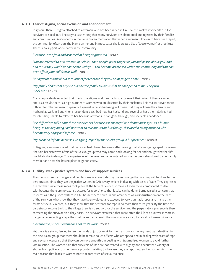#### **4.3.3 Fear of stigma, social exclusion and abandonment**

In general there is stigma attached to a woman who has been raped in CAR, so this makes it very difficult for survivors to speak out. The stigma is so strong that many survivors are abandoned and rejected by their families and communities. Respondents in the Zone 8 area mentioned that when a woman is known to have been raped, the community often puts the blame on her and in most cases she is treated like a 'loose woman' or prostitute. There is no support or empathy in the community.

#### *'Because I am afraid and ashamed of being stigmatised.'* Zone 5

*'You are referred to as a 'woman of Seleka'. Then people point fingers at you and gossip about you, and as a result they would not associate with you. You become ostracised within the community and this can even affect your children as well.'* Zone 8

#### *'It's difficult to talk about it to others for fear that they will point fingers at me.'* Zone 4

#### *'My family don't want anyone outside the family to know what has happened to me. They will mock me.'* Zone 5

Many respondents reported that due to the stigma and trauma, husbands reject their wives if they are raped and, as a result, there is a high number of women who are deserted by their husbands. This makes it even more difficult for other women to speak out against rape, if disclosing will mean that they will lose their family and husband as well. In Zone 4, one respondent described how her husband and several of her other relatives had forsaken her, unable to relate to her because of what she had gone through, and she feels abandoned.

#### *'It is difficult to talk about these experiences because it is shameful and dehumanises you as a human being. In the beginning I did not want to talk about this but finally I disclosed it to my husband who became very angry and left me.'* Zone 4

#### *'My husband left me because I was gang-raped by the Seleka group in his presence.'* BEGOUA

In Begoua, a woman shared that her sister had chased her away after hearing that she was gang-raped by Seleka. She said her sister was afraid of the Seleka group who may come back looking for her and thought that her life would also be in danger. This experience left her even more devastated, as she has been abandoned by her family member and now she has no place to go for safety.

#### **4.3.4 Futility: weak justice system and lack of support services**

The survivors' sense of anger and helplessness is exacerbated by the knowledge that nothing will be done to the perpetrators, since they see the justice system in CAR is very lenient in dealing with cases of rape. They expressed the fact that since these rapes took place at the time of conflict, it makes it even more complicated to deal with because there are no clear structures for reporting so that justice can be done. Some raised a concern that it seems as if the justice system in CAR has let them down. In one area there was also frustration on the part of the survivors who know that they have been violated and exposed to very traumatic rapes and many other forms of sexual violence, but they know that the sentence for rape is no more than three years. By the time the perpetrator returns back to the village there is no support for the survivor and the perpetrator's presence is then tormenting the survivor on a daily basis. The survivors expressed that more often the life of a survivor is more in danger after reporting a rape than before and, as a result, the survivors are afraid to talk about sexual violence.

#### *'Because the justice system does not do its work.'* Zone 3

Yet there is a strong feeling to see the hands of justice work for them as survivors. A key need was identified in the discussion group that there should be female police officers who are specialised in dealing with cases of rape and sexual violence so that they can be more empathic in dealing with traumatised women to avoid further victimisation. The women said that survivors of rape are not treated with dignity and encounter a variety of abuses from police and other service providers relating to the case they are reporting, and for some this is the main reason that leads to women not to report cases of sexual violence.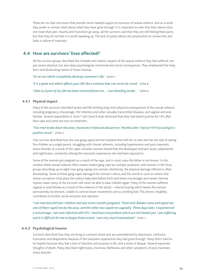There are no clear structures that provide much-needed support to survivors of sexual violence, and as a result they prefer to remain silent about what they have gone through. It is important to note that their silence does not mean that pain, trauma and frustration go away; all the survivors said that they are still feeling these pains, but that they do not feel it is worth speaking up. The lack of justice allows the perpetrators to remain free and fuels a culture of impunity.

#### **4.4 How are survivors' lives affected?**

All the survivor groups described the multiple and holistic impacts of the sexual violence they had suffered, not just severe physical, but also deep psychological, emotional and social consequences. They emphasized the longterm and devastating nature of these traumas.

*'It's an act which completely destroys someone's life.'* Zone 5

*'It is a great evil which affects your life like a sickness that can never be cured.'* Zone 8 *'I feel as if part of my life has been removed from me… I am bleeding inside…'* Zone 8

#### **4.4.1 Physical impact**

Many of the survivors described severe and life-limiting long-term physical consequences of the sexual violence, including pregnancy, miscarriage, HIV infection and other sexually transmitted diseases, and vaginal and anal fistulae. Several respondents in Zone 7 and Zone 8 areas disclosed that they had tested positive for HIV after their rape and some are now on treatment.

#### *'Two men broke down the door, found me in bed and abused me. Months later I had an HIV test and got a positive result.'* Zone 4

One survivor described how she was gang-raped and her husband then left her so now she has the task of raising five children as a single parent, struggling with chronic ailments, including hypertension and post-traumatic stress disorder as a result of the rapes. Another woman shared that she developed stomach ulcers, palpitations and nightmares, constantly reliving the traumatic experiences she had been exposed to.

Some of the women got pregnant as a result of the rape, and in most cases the father is not known. In this context where sexual violence often means violent gang-rape by multiple assailants, with women in the focus groups describing up to eight men gang-raping one woman relentlessly, the physical damage inflicted is often devastating. Some of these gang-rapes damaged the woman's uterus and the womb to such an extent that where conception took place the unborn baby died before birth and these miscarriages and severe internal injuries mean many of the survivors will never be able to bear children again. Many of the women suffered vaginal or anal fistulae as a result of the violence of the attack – internal tearing which leaves the woman permanently incontinent, unable to control bowel movements and so smelling bad. This chronic disability contributes to further social exclusion and rejection.

*'I am married with four children and was seven months pregnant. Three Anti-Balaka came and raped me, one of them raped me by the anus, and the other two raped me vaginally. Three days later, I experienced a miscarriage. I am now infected with HIV. I had tears everywhere which are not healed yet. I am suffering and it is difficult for me to forget these events. I am very much traumatised.'* Zone 7

#### **4.4.2 Psychological trauma**

Survivors described how they are living in constant shock and are overwhelmed by depression, confusion, frustration and desperation because of the traumatic experiences they had gone through. Many find it hard to be hopeful because they feel a lack of direction and purpose in life, and a sense of despair. Several expressed thoughts of death. Many described nightmares, insomnia, flashbacks and other symptoms of post-traumatic stress disorder.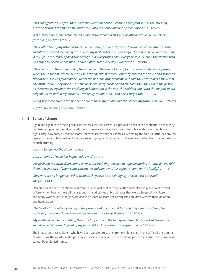*'This has affected my life in that, since the event happened, I cannot sleep from 1am in the morning, the time at which the three assailants broke into the house and one of them raped me.'* Zone 5

*'It is a deep shame, I am traumatised, I cannot forget about this very painful act which prevents me from living my life.'* Begoua

*'They killed two of my little brothers. I am a widow, but one day seven Seleka men came into my house and all seven raped me taking turns. Since my husband died 10 years ago, I have not known another man in my life. I am already of an advanced age, but every time I pass, everyone says, ''Here is the woman who was raped by seven Seleka men". I have nightmares every day. I want to die.'* BEGOUA

*'They came into the compound of the church and they were looking for my husband who was a pastor. When they asked me where he was, I said that he was not there. But they entered the house and searched everywhere. He was found hidden under the bed. The other took me and said they are going to show that one must not lie. They raped me in the presence of my husband and children, then they killed the pastor. As there was everywhere the crackling of bullets and in the rain, the children and I with the support of old neighbours we buried my husband. I am really traumatised, I can never forget this.'* Begoua

*'Being sick these days I have not been able to finish my studies like the others, my future is broken.'* Zone 4 *'Life has no meaning any more.'* Zone 3

#### **4.4.3 Sense of shame**

Again and again in the focus groups and interviews, the survivors expressed a deep sense of shame, a sense they had been stripped of their dignity. Although they were innocent victims of terrible violations of their human rights, they now carry a sense of shame for themselves and their families, reflecting the cultural attitudes around rape and the terrible injustice of the pervasive stigma, which attaches to the survivor rather than the perpetrators of such brutality.

*'I am no longer worthy of me.'* Zone 3

*'I am ashamed of what has happened to me.'* Zone 4

*'My husband was away from home, six men entered, they decided to rape my mother-in-law. When I told them to leave, two of them came toward me and raped me. It is a great shame for the family.'* Zone 4

*'Survivors are no longer like other women, they have lost their dignity, they have a tarnished image.'* ZONE 8

Heightening the sense of shame and trauma is the fact that the rapes often took place in public, and in front of family members. Almost all focus groups shared stories of brutal rapes that were witnessed by children, and many women particularly expressed their sense of shame at having their children witness their violation and humiliation.

#### *'The Seleka broke into my house, in the presence of my four children and they raped me. Now, I am suffering from gonorrhoea, I am always anxious, it is a deep shame to me.'* Zone 4

#### *'My husband was in the military, they tore his picture in the lounge and then brutalised and raped me. I was attacked at home. In front of my two children I was raped. It is a great shame.'* Zone 4

The impact on these children, who have been exposed to such extreme violence, and have suffered the trauma of witnessing the murder and rape of loved ones, and seeing their parents and protectors abused and powerless, cannot be underestimated.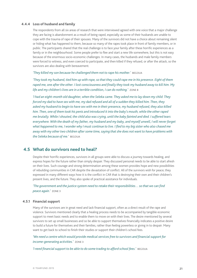#### **4.4.4 Loss of husband and family**

The respondents from all six areas of research that were interviewed agreed with one voice that a major challenge they are facing is abandonment as a result of being raped, especially as some of their husbands are unable to cope with the trauma of rape of their spouses. Many of the survivors did not have a choice about remaining silent or hiding what has happened to them, because so many of the rapes took place in front of family members, or in public. The participants shared that the real challenge is to face your family after these horrific experiences as a family or in the neighbourhood. Some people prefer to flee and start a new life somewhere, but this is not easy because of the enormous socio-economic challenges. In many cases, the husbands and male family members were forced to witness, and even coerced to participate, and then killed if they refused, or after the attack, so the survivors are also dealing with bereavement.

*'They killed my son because he challenged them not to rape his mother.'* Begoua

*'They took my husband, tied him up with rope, so that they could rape me in his presence. Eight of them raped me, one after the other. I lost consciousness and finally they took my husband away to kill him. My life and my children's lives are in a terrible condition, I can do nothing.'* Zone 8

*'I had an eight-month old daughter, when the Seleka came. They asked me to lay down my child. They forced my dad to have sex with me, my dad refused and all of a sudden they killed him. Then, they asked my husband to begin to have sex with me in their presence, my husband refused, they also killed him. Then, one of them took his penis and introduced it into the baby's mouth, while the other raped me brutally. While I shouted, the child also was crying, until the baby fainted and died. I suffered tears everywhere. With the death of my father, my husband and my baby, and myself unwell, I will never forget what happened to me, I wonder why I must continue to live. I fled to my big sister who also chased me away with my other two children after some time, saying that she does not want to have problems with the Seleka because of me.'* Begoua

#### **4.5 What do survivors need to heal?**

Despite their horrific experiences, survivors in all groups were able to discuss a journey towards healing, and express hopes for the future rather than simply despair. They discussed personal needs to be able to start afresh on their lives. Such courage and strong determination among these women provides hope and new possibilities of rebuilding communities in CAR despite the devastation of conflict. All of the survivors wish for peace; they expressed in many different ways how it is the conflict in CAR that is destroying their own and their children's present lives, and the future. They also spoke of practical assistance for individuals.

*'The government and the justice system need to retake their responsibilities… so that we can find peace again.'* Zone 3

#### **4.5.1 Financial support**

Many of the survivors are in great need and lack financial support, often as a direct result of the rape and violence. Survivors mentioned clearly that a healing process needs to be accompanied by tangible economic support to meet basic needs and to enable them to move on with their lives. The desire mentioned by several survivors to set up small businesses and so be able to support themselves financially indicates a positive desire to build a future for themselves and their families, rather than feeling powerless or giving in to despair. Many want to get back to school to finish their studies or support their children's school fees.

*'We need a centre which would provide medical services free to survivors and financial support for income-generating activities.'* Zone 3

*'I need financial support to be able to do some trading to afford school fees.'* BEGOUA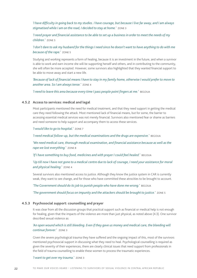*'I have difficulty in going back to my studies. I have courage, but because I live far away, and I am always stigmatised while I am on the road, I decided to stay at home.'* Zone 3

*'I need prayer and financial assistance to be able to set up a business in order to meet the needs of my children.'* Zone 5

*'I don't dare to ask my husband for the things I need since he doesn't want to have anything to do with me because of the rape.'* Zone 5

Studying and working represents a form of healing, because it is an investment in the future, and when a survivor is able to work and earn income she will be supporting herself and others, and in contributing to the community, she will often be more accepted. However, some survivors also highlighted that they wanted financial support to be able to move away and start a new life.

*'Because of lack of financial means I have to stay in my family home, otherwise I would prefer to move to another area. So I am always tense.'* Zone 4

'I need to leave this area because every time I pass people point fingers at me.' BEGOUA

#### **4.5.2 Access to services: medical and legal**

Most participants mentioned the need for medical treatment, and that they need support in getting the medical care they need following the attack. Most mentioned lack of financial means, but for some, the barrier to accessing essential medical services was not merely financial. Survivors also mentioned fear or shame as barriers and need someone to help support and accompany them to access these services.

*'I would like to go to hospital.'* Zone 7

'*I need medical follow-up, but the medical examinations and the drugs are expensive.'* BEGOUA

*'We need medical care, thorough medical examination, and financial assistance because as well as the rape we lost everything.'* Zone 8

*'If I have something to buy food, medicines and with prayer I could feel healed.'* BEGOUA

'Up till now I have not gone to a medical centre due to lack of courage, I need your assistance for moral *and physical healing.'* Zone 4

Several survivors also mentioned access to justice. Although they know the justice system in CAR is currently weak, they want to see change, and for those who have committed these atrocities to be brought to account.

*'The Government should do its job to punish people who have done me wrong.'* BEGOUA

*'The government should focus on impunity and the attackers should be brought to justice.'* Zone 5

#### **4.5.3 Psychosocial support: counselling and prayer**

It was clear from all the discussion groups that practical support such as financial or medical help is not enough for healing, given that the impacts of the violence are more than just physical, as noted above (4.3). One survivor described sexual violence as:

#### 'An open wound which is still bleeding. Even if they gave us money and medical care, the bleeding will *continue forever.'* Zone 3

Given the severe psychological trauma they have suffered and the ongoing impact of this, most of the survivors mentioned psychosocial support in discussing what they need to heal. Psychological counselling is required as given the severity of their experiences, there are clearly clinical issues that need support from professionals in the field of trauma counselling to enable these women to process the traumatic experiences.

#### *'I want to get over my trauma.'* Zone 3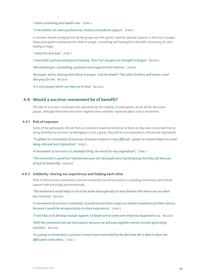*'I need counselling and health care.'* Zone 4

*'To be healed, we want psychosocial, medical and judicial support.'* Zone 3

A common thread emerging from all the groups was the specific need for spiritual support, in the form of prayer. Many participants emphasised the need for prayer, counselling and healing from the faith community, for their healing to begin.

*'I need lots of prayer.'* Zone 7

*'I need both spiritual and physical healing. That God can give me strength to forgive.'* Begoua

*'We need prayer, counselling, assistance and support from relatives.'* Zone 8

*'By prayer, and in sharing with others in prayer, I can be healed. That other brothers and sisters could also pray for me.'* Begoua

*'It is only prayer which can help me to heal.'* Begoua

#### **4.6 Would a survivor movement be of benefit?**

The idea of a survivor movement was welcomed by the majority of participants, across all the discussion groups, although there were also some negative views and fears expressed about such a movement.

#### **4.6.1 Risk of exposure**

Some of the participants did not think a movement would be beneficial to them as they were concerned that by being identified as survivors, by belonging to such a group, they will be more exposed to ridicule and stigmatised.

*'To gather in a movement of survivors of sexual violence is very difficult. I prefer to remain hidden to avoid being ridiculed and stigmatised.'* Zone 3

*'A movement of survivors is a shameful thing, we would be very stigmatised.'* Zone 3

*'The movement is good but I hesitate because lots of people have started groups but they fail because of lack of leadership.'* Begoua

#### **4.6.2 Solidarity: sharing our experiences and helping each other**

Most of the survivors mentioned a survivor movement would be positive in providing community and mutual support both practically and emotionally.

*'The movement would help us not to be alone and especially to have friends with whom we can share our concerns.'* Begoua

*'A movement of survivors is essential; it would permit them to get out of their loneliness and their silence, because it would be an opportunity to share experiences.'* Zone 5

*'It will help us to develop mutual support, to forget and to overcome what has happened to us.'* Begoua

*'With this movement we can have peace, because we will pray together and do income-generating activities.'* Begoua

*'In a group or movement, a survivor is much more motivated by the fact that she is able to share her difficulties with others.'* Zone 3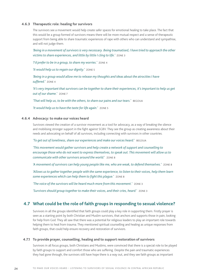#### **4.6.3 Therapeutic role: healing for survivors**

The survivors see a movement would help create safer spaces for emotional healing to take place. The fact that this would be a group formed of survivors means there will be more mutual respect and a sense of therapeutic support from being able to share traumatic experiences of rape with others who can understand and sympathise, and will not judge them.

*'Being in a movement of survivors is very necessary. Being traumatised, I have tried to approach the other victims to share experiences, and little by little I cling to life.'* Zone 3

*'I'd prefer to be in a group, to share my worries.'* Zone 4

*'It would help us to regain our dignity.'* Zone 5

*'Being in a group would allow me to release my thoughts and ideas about the atrocities I have suffered.'* Zone 4

*'It's very important that survivors can be together to share their experiences, it's important to help us get out of our shame.'* Zone 7

'That will help us, to be with the others, to share our pains and our tears.' BEGOUA

*'It would help us to have the taste for life again.'* Zone 5

#### **4.6.4 Advocacy: to make our voices heard**

Survivors viewed the creation of a survivor movement as a tool for advocacy, as a way of breaking the silence and mobilising stronger support in the fight against SGBV. They see the group as creating awareness about their needs and advocating on behalf of all survivors, including connecting with survivors in other countries.

*'To get out of loneliness, share our experiences and make our voices heard.'* Begoua

*'This movement would gather survivors and help create a network of support and counselling to encourage those who do not want to express themselves, to speak out. This movement will allow us to communicate with other survivors around the world.'* Zone 8

*'A movement of survivors can help young people like me, who are weak, to defend themselves.'* Zone 8

*'Allows us to gather together people with the same experience, to listen to their voices, help them learn some experiences which can help them to fight this plague.'* Zone 8

*'The voice of the survivors will be heard much more from this movement.'* Zone 3

*'Survivors should group together to make their voices, and their cries, heard.'* Zone 3

#### **4.7 What could be the role of faith groups in responding to sexual violence?**

Survivors in all the groups identified that faith groups could play a key role in supporting them. Firstly prayer is seen as a starting point by both Christian and Muslim survivors, that anchors and supports those in pain, looking for help from God. They all saw that there was a potential for religious leaders to play an important role towards helping them to heal from trauma. They mentioned spiritual counselling and healing as unique responses from faith groups, that could help ensure recovery and restoration of survivors.

#### **4.7.1 To provide prayer, counselling, healing and to support restoration of survivors**

Survivors in all focus groups, both Christians and Muslims, were convinced that there is a special role to be played by faith groups to support and comfort those who are suffering. Despite the pain and traumatic experiences they had gone through, the survivors still have hope there is a way out, and they see faith groups as important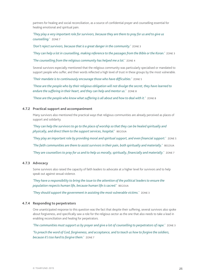partners for healing and social reconciliation, as a source of confidential prayer and counselling essential for healing emotional and spiritual pain.

*'They play a very important role for survivors, because they are there to pray for us and to give us counselling.'* Zone 7

*'Don't reject survivors, because that is a great danger in the community.'* Zone 3

*'They can help a lot in counselling, making reference to the passages from the Bible or the Koran.'* Zone 3

*'The counselling from the religious community has helped me a lot.'* Zone 4

Several survivors especially mentioned that the religious community was particularly specialised or mandated to support people who suffer, and their words reflected a high level of trust in these groups by the most vulnerable.

*'Their mandate is to continuously encourage those who have difficulties.'* Zone 5

*'These are the people who by their religious obligation will not divulge the secret, they have learned to endure the suffering in their heart, and they can help and mentor us.'* Zone 8

*'These are the people who know what suffering is all about and how to deal with it.'* Zone 8

#### **4.7.2 Practical support and accompaniment**

Many survivors also mentioned the practical ways that religious communities are already perceived as places of support and solidarity.

*'They can help the survivors to go to the place of worship so that they can be healed spiritually and physically, and direct them to the support services, hospital.'* Begoua

*'They play an important role by providing moral and spiritual support, and even financial support.'* Zone 5

*'The faith communities are there to assist survivors in their pain, both spiritually and materially.'* Begoua

*'They are counsellors to pray for us and to help us morally, spiritually, financially and materially.'* Zone 7

#### **4.7.3 Advocacy**

Some survivors also raised the capacity of faith leaders to advocate at a higher level for survivors and to help speak out against sexual violence.

*'They have a responsibility to bring the issue to the attention of the political leaders to ensure the population respects human life, because human life is sacred.'* Begoua

*'They should support the government in assisting the most vulnerable victims.'* Zone 3

#### **4.7.4 Responding to perpetrators**

One unanticipated response to this question was the fact that despite their suffering, several survivors also spoke about forgiveness, and specifically saw a role for the religious sector as the one that also needs to take a lead in enabling reconciliation and healing for perpetrators.

*'The communities must support us by prayer and give a lot of counselling to perpetrators of rape.'* Zone 3

*'To preach the word of God, forgiveness, and acceptance, and to teach us how to forgive the soldiers, because it's too hard to forgive them.'* Zone 7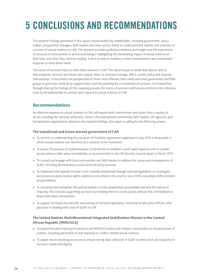## **5 Conclusions and recommendations**

The research findings presented in this report should enable key stakeholders, including government, policy makers, programme managers, faith leaders and other actors, better to understand the realities and priorities of survivors of sexual violence in CAR. The research provides qualitative evidence and insight into the experiences of survivors in communities in and around Bangui, highlighting the devastating impact of sexual violence on their lives, and what they need for healing. It aims to help to mobilise a more comprehensive and coordinated response to meet these needs.

The voices of survivors have so often been silenced in CAR. This report hopes to break that silence, and to help empower survivors and those who support them to champion change, affect current policy and improve interventions. It documents the perspectives of those most affected, their needs and what government and faith groups in particular could do to support them, and the potential for a movement of survivors. It is hoped that through sharing the findings of this mapping process, the voices of survivors will become central to the collective work by all stakeholders to prevent and respond to sexual violence in CAR.

#### **Recommendations**

An effective response to sexual violence in CAR will require both commitment and action from a variety of actors including the national authorities, donors, the international community, faith leaders, UN agencies, and humanitarian organisations. Based on the research findings, this report is calling for the following actions:

#### **The transitional and future elected government of CAR**

- To commit to implementing the cessation of hostilities agreement negotiated in July 2014 in Brazzaville in which sexual violence was identified as a violation to be monitored.
- <sup>n</sup> To ensure the process of implementation of the decree to establish a joint rapid response unit to combat sexual violence takes place immediately, as recommended in the [UN Security Council report in March 2015](http://www.securitycouncilreport.org/atf/cf/%7B65BFCF9B-6D27-4E9C-8CD3-CF6E4FF96FF9%7D/s_2015_203.pdf).
- <sup>n</sup> To consult and engage with local communities and faith leaders to address the causes and consequences of SGBV, including discriminatory social norms faced by survivors.
- <sup>n</sup> To implement the [Special Criminal Court](https://www.fidh.org/International-Federation-for-Human-Rights/impacts/central-african-republic-special-criminal-court-officially-created), recently established through national legislation, to investigate and prosecute grave human rights violations committed in the country since 2003, including conflict-related sexual violence.
- <sup>n</sup> To scrutinise and strengthen the judicial system to hold perpetrators accountable and end the culture of impunity. This includes supporting survivors by enabling them to access justice without fear, intimidation or abuse from their communities.
- <sup>n</sup> To support increased recruitment and training of technical specialists, including female police officers, who specialise in dealing with cases of SGBV in CAR.

#### **The United Nations Multidimensional Integrated Stabilization Mission in the Central African Republic (MINUSCA)**

- $\blacksquare$  To expand the pilot training of trainers to all MINUSCA police and military commanders on the protection of civilians, including prevention of and response to conflict-related sexual violence.
- <sup>n</sup> To adopt robust reporting structures to ensure strong data collection of SGBV incidents that are respectful of survivors' needs and dignity.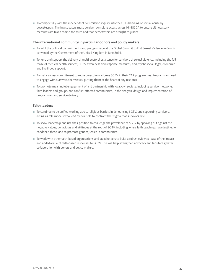■ To comply fully with the independent commission inquiry into the UN's handling of sexual abuse by peacekeepers. The investigators must be given complete access across MINUSCA to ensure all necessary measures are taken to find the truth and that perpetrators are brought to justice.

#### **The international community in particular donors and policy makers**

- <sup>n</sup> To fulfil the political commitments and pledges made at the Global Summit to End Sexual Violence in Conflict convened by the Government of the United Kingdom in June 2014.
- $\blacksquare$  To fund and support the delivery of multi-sectoral assistance for survivors of sexual violence, including the full range of medical health services; SGBV awareness and response measures; and psychosocial, legal, economic and livelihood support.
- <sup>n</sup> To make a clear commitment to more proactively address SGBV in their CAR programmes. Programmes need to engage with survivors themselves, putting them at the heart of any response.
- <sup>n</sup> To promote meaningful engagement of and partnership with local civil society, including survivor networks, faith leaders and groups, and conflict-affected communities, in the analysis, design and implementation of programmes and service delivery.

#### **Faith leaders**

- To continue to be unified working across religious barriers in denouncing SGBV, and supporting survivors, acting as role models who lead by example to confront the stigma that survivors face.
- <sup>n</sup> To show leadership and use their position to challenge the prevalence of SGBV by speaking out against the negative values, behaviours and attitudes at the root of SGBV, including where faith teachings have justified or condoned these, and to promote gender justice in communities.
- <sup>n</sup> To work with other faith-based organisations and stakeholders to build a robust evidence-base of the impact and added-value of faith-based responses to SGBV. This will help strengthen advocacy and facilitate greater collaboration with donors and policy makers.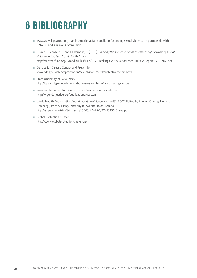### **6 Bibliography**

- [www.wewillspeakout.org](file:///\\filesrv01\HomeDrive$\hwm\Downloads\www.wewillspeakout.org) an international faith coalition for ending sexual violence, in partnership with UNAIDS and Anglican Communion
- Curran, R. Zengele, B. and Mukamana, S. (2013), *Breaking the silence, A needs assessment of survivors of sexual violence in KwaZulu Natal*, South Africa. http://tilz.tearfund.org/~/media/Files/TILZ/HIV/Breaking%20the%20silence\_Full%20report%20FINAL.pdf
- Centres for Disease Control and Prevention [www.cdc.gov/violenceprevention/sexualviolence/riskprotectivefactors.html](file:///\\filesrv01\HomeDrive$\hwm\Downloads\www.cdc.gov\violenceprevention\sexualviolence\riskprotectivefactors.html)
- $\blacksquare$  State University of New Jersey <http://vpva.rutgers.edu/information/sexual-violence/contributing-factors>,
- <sup>n</sup> Women's Initiatives for Gender Justice: Women's voices e-letter http://4genderjustice.org/publications/eLetters
- World Health Organization, World report on violence and health, 2002. Edited by Etienne G. Krug, Linda L. Dahlberg, James A. Mercy, Anthony B. Zwi and Rafael Lozano http://apps.who.int/iris/bitstream/10665/42495/1/9241545615\_eng.pdf
- **n** Global Protection Cluster http://www.globalprotectioncluster.org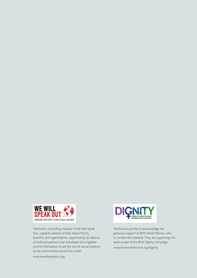

Tearfund is a founding member of We Will Speak Out, a global coalition of faith-based NGOs, churches and organisations, supported by an alliance of technical partners and individuals who together commit themselves to see the end of sexual violence across communities around the world.



Tearfund would like to acknowledge the generous support of BMS World Mission, who co-funded this research. They are supporting this work as part of the BMS Dignity Campaign. www.bmsworldmission.org/dignity

www.wewillspeakout.org